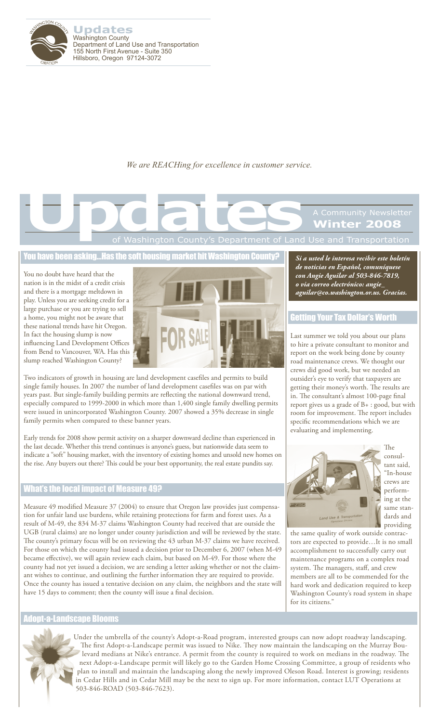

**Updates** Washington County Department of Land Use and Transportation 155 North First Avenue - Suite 350 Hillsboro, Oregon 97124-3072

*We are REACHing for excellence in customer service.*

# of Washington County's Department of Land Use and Transportation **Winter 2008 Updates**<br>
The Mashington County's Department of Land

You have been asking…Has the soft housing market hit Washington County?

You no doubt have heard that the nation is in the midst of a credit crisis and there is a mortgage meltdown in play. Unless you are seeking credit for a large purchase or you are trying to sell a home, you might not be aware that these national trends have hit Oregon. In fact the housing slump is now influencing Land Development Offices from Bend to Vancouver, WA. Has this slump reached Washington County?



Two indicators of growth in housing are land development casefiles and permits to build single family houses. In 2007 the number of land development casefiles was on par with years past. But single-family building permits are reflecting the national downward trend, especially compared to 1999-2000 in which more than 1,400 single family dwelling permits were issued in unincorporated Washington County. 2007 showed a 35% decrease in single family permits when compared to these banner years.

Early trends for 2008 show permit activity on a sharper downward decline than experienced in the last decade. Whether this trend continues is anyone's guess, but nationwide data seem to indicate a "soft" housing market, with the inventory of existing homes and unsold new homes on the rise. Any buyers out there? This could be your best opportunity, the real estate pundits say.

#### What's the local impact of Measure 49?

Measure 49 modified Measure 37 (2004) to ensure that Oregon law provides just compensation for unfair land use burdens, while retaining protections for farm and forest uses. As a result of M-49, the 834 M-37 claims Washington County had received that are outside the UGB (rural claims) are no longer under county jurisdiction and will be reviewed by the state. The county's primary focus will be on reviewing the 43 urban M-37 claims we have received. For those on which the county had issued a decision prior to December 6, 2007 (when M-49 became effective), we will again review each claim, but based on M-49. For those where the county had not yet issued a decision, we are sending a letter asking whether or not the claimant wishes to continue, and outlining the further information they are required to provide. Once the county has issued a tentative decision on any claim, the neighbors and the state will have 15 days to comment; then the county will issue a final decision.

#### Adopt-a-Landscape Blooms



*Si a usted le interesa recibir este boletín de noticias en Español, comuníquese con Angie Aguilar al 503-846-7819, o via correo electrónico: angie\_ aguilar@co.washington.or.us. Gracias.*

#### Getting Your Tax Dollar's Worth

Last summer we told you about our plans to hire a private consultant to monitor and report on the work being done by county road maintenance crews. We thought our crews did good work, but we needed an outsider's eye to verify that taxpayers are getting their money's worth. The results are in. The consultant's almost 100-page final report gives us a grade of B+ : good, but with room for improvement. The report includes specific recommendations which we are evaluating and implementing.



The consultant said, "In-house crews are performing at the same standards and providing

the same quality of work outside contractors are expected to provide…It is no small accomplishment to successfully carry out maintenance programs on a complex road system. The managers, staff, and crew members are all to be commended for the hard work and dedication required to keep Washington County's road system in shape for its citizens."